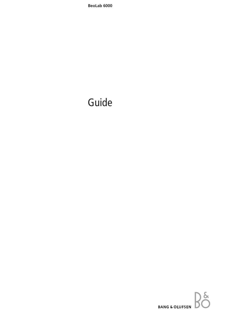# Guide

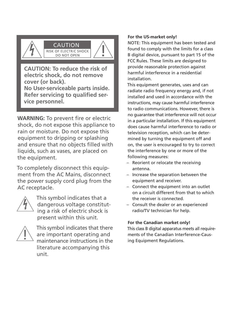

CAUTION: To reduce the risk of electric shock, do not remove cover (or back). No User-serviceable parts inside. Refer servicing to qualified service personnel.

**WARNING:** To prevent fire or electric shock, do not expose this appliance to rain or moisture. Do not expose this equipment to dripping or splashing and ensure that no objects filled with liquids, such as vases, are placed on the equipment.

To completely disconnect this equipment from the AC Mains, disconnect the power supply cord plug from the AC receptacle.



This symbol indicates that a dangerous voltage constituting a risk of electric shock is present within this unit.



This symbol indicates that there are important operating and maintenance instructions in the literature accompanying this unit.

## For the US-market only!

NOTE: This equipment has been tested and found to comply with the limits for a class B digital device, pursuant to part 15 of the FCC Rules. These limits are designed to provide reasonable protection against harmful interference in a residential installation.

This equipment generates, uses and can radiate radio frequency energy and, if not installed and used in accordance with the instructions, may cause harmful interference to radio communications. However, there is no quarantee that interference will not occur in a particular installation. If this equipment does cause harmful interference to radio or television reception, which can be determined by turning the equipment off and on, the user is encouraged to try to correct the interference by one or more of the following measures:

- Reorient or relocate the receiving antenna.
- Increase the separation between the equipment and receiver.
- Connect the equipment into an outlet on a circuit different from that to which the receiver is connected
- Consult the dealer or an experienced radio/TV technician for help.

## For the Canadian market only!

This class B digital apparatus meets all requirements of the Canadian Interference-Causing Equipment Regulations.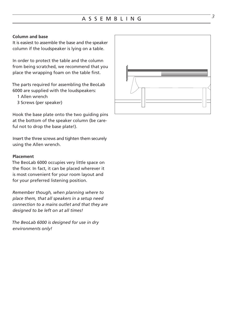# *<sup>3</sup>* ASSEMBLING

#### **Column and base**

It is easiest to assemble the base and the speaker column if the loudspeaker is lying on a table.

In order to protect the table and the column from being scratched, we recommend that you place the wrapping foam on the table first.

The parts required for assembling the BeoLab 6000 are supplied with the loudspeakers:

- 1 Allen wrench
- 3 Screws (per speaker)

Hook the base plate onto the two guiding pins at the bottom of the speaker column (be careful not to drop the base plate!).

Insert the three screws and tighten them securely using the Allen wrench.

#### **Placement**

The BeoLab 6000 occupies very little space on the floor. In fact, it can be placed wherever it is most convenient for your room layout and for your preferred listening position.

*Remember though, when planning where to place them, that all speakers in a setup need connection to a mains outlet and that they are designed to be left on at all times!*

*The BeoLab 6000 is designed for use in dry environments only!*

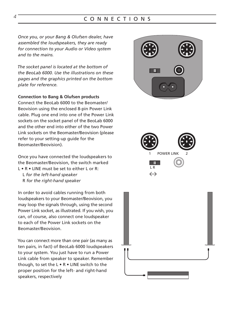# CONNECTIONS

Once you, or your Bang & Olufsen dealer, have assembled the loudspeakers, they are ready for connection to your Audio or Video system and to the mains

The socket panel is located at the bottom of the BeoLab 6000. Use the illustrations on these pages and the graphics printed on the bottom plate for reference.

#### **Connection to Bang & Olufsen products**

Connect the BeoLab 6000 to the Beomaster/ Beovision using the enclosed 8-pin Power Link cable. Plug one end into one of the Power Link sockets on the socket panel of the BeoLab 6000 and the other end into either of the two Power Link sockets on the Beomaster/Beovision (please) refer to your setting-up quide for the Beomaster/Beovision).

Once you have connected the loudspeakers to the Beomaster/Beovision, the switch marked  $L \cdot R \cdot LINE$  must be set to either L or R:

- L for the left-hand speaker
- R for the right-hand speaker

In order to avoid cables running from both loudspeakers to your Beomaster/Beovision, you may loop the signals through, using the second Power Link socket, as illustrated. If you wish, you can, of course, also connect one loudspeaker to each of the Power Link sockets on the Beomaster/Beovision.

You can connect more than one pair (as many as ten pairs, in fact) of BeoLab 6000 loudspeakers to your system. You just have to run a Power Link cable from speaker to speaker. Remember though, to set the L . R . LINE switch to the proper position for the left- and right-hand speakers, respectively







Δ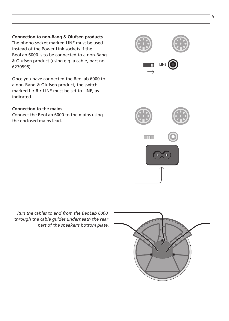**Connection to non-Bang & Olufsen products** The phono socket marked LINE must be used instead of the Power Link sockets if the BeoLab 6000 is to be connected to a non-Bang & Olufsen product (using e.g. a cable, part no. 6270595).

Once you have connected the BeoLab 6000 to a non-Bang & Olufsen product, the switch marked L . R . LINE must be set to LINE, as indicated.

#### **Connection to the mains**

Connect the BeoLab 6000 to the mains using the enclosed mains lead.

Run the cables to and from the BeoLab 6000 through the cable quides underneath the rear part of the speaker's bottom plate.





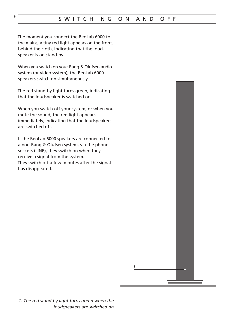The moment you connect the BeoLab 6000 to the mains, a tiny red light appears on the front, behind the cloth, indicating that the loudspeaker is on stand-by.

When you switch on your Bang & Olufsen audio system (or video system), the BeoLab 6000 speakers switch on simultaneously.

The red stand-by light turns green, indicating that the loudspeaker is switched on.

When you switch off your system, or when you mute the sound, the red light appears immediately, indicating that the loudspeakers are switched off

If the BeoLab 6000 speakers are connected to a non-Bang & Olufsen system, via the phono sockets (LINE), they switch on when they receive a signal from the system. They switch off a few minutes after the signal has disappeared.



1. The red stand-by light turns green when the loudspeakers are switched on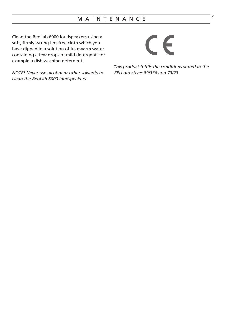Clean the BeoLab 6000 loudspeakers using a soft, firmly wrung lint-free cloth which you have dipped in a solution of lukewarm water containing a few drops of mild detergent, for example a dish washing detergent.

NOTE! Never use alcohol or other solvents to clean the BeoLab 6000 loudspeakers.

# $\epsilon$

This product fulfils the conditions stated in the EEU directives 89/336 and 73/23.